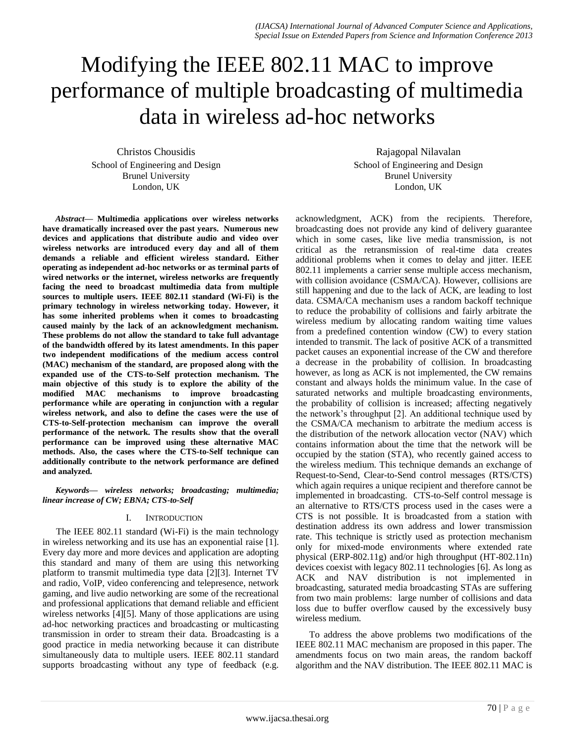# Modifying the IEEE 802.11 MAC to improve performance of multiple broadcasting of multimedia data in wireless ad-hoc networks

Christos Chousidis School of Engineering and Design Brunel University London, UK

*Abstract***— Multimedia applications over wireless networks have dramatically increased over the past years. Numerous new devices and applications that distribute audio and video over wireless networks are introduced every day and all of them demands a reliable and efficient wireless standard. Either operating as independent ad-hoc networks or as terminal parts of wired networks or the internet, wireless networks are frequently facing the need to broadcast multimedia data from multiple sources to multiple users. IEEE 802.11 standard (Wi-Fi) is the primary technology in wireless networking today. However, it has some inherited problems when it comes to broadcasting caused mainly by the lack of an acknowledgment mechanism. These problems do not allow the standard to take full advantage of the bandwidth offered by its latest amendments. In this paper two independent modifications of the medium access control (MAC) mechanism of the standard, are proposed along with the expanded use of the CTS-to-Self protection mechanism. The main objective of this study is to explore the ability of the modified MAC mechanisms to improve broadcasting performance while are operating in conjunction with a regular wireless network, and also to define the cases were the use of CTS-to-Self-protection mechanism can improve the overall performance of the network. The results show that the overall performance can be improved using these alternative MAC methods. Also, the cases where the CTS-to-Self technique can additionally contribute to the network performance are defined and analyzed.**

*Keywords— wireless networks; broadcasting; multimedia; linear increase of CW; EBNA; CTS-to-Self*

# I. INTRODUCTION

The IEEE 802.11 standard (Wi-Fi) is the main technology in wireless networking and its use has an exponential raise [1]. Every day more and more devices and application are adopting this standard and many of them are using this networking platform to transmit multimedia type data [2][3]. Internet TV and radio, VoIP, video conferencing and telepresence, network gaming, and live audio networking are some of the recreational and professional applications that demand reliable and efficient wireless networks [4][5]. Many of those applications are using ad-hoc networking practices and broadcasting or multicasting transmission in order to stream their data. Broadcasting is a good practice in media networking because it can distribute simultaneously data to multiple users. IEEE 802.11 standard supports broadcasting without any type of feedback (e.g.

Rajagopal Nilavalan School of Engineering and Design Brunel University London, UK

acknowledgment, ACK) from the recipients. Therefore, broadcasting does not provide any kind of delivery guarantee which in some cases, like live media transmission, is not critical as the retransmission of real-time data creates additional problems when it comes to delay and jitter. IEEE 802.11 implements a carrier sense multiple access mechanism, with collision avoidance (CSMA/CA). However, collisions are still happening and due to the lack of ACK, are leading to lost data. CSMA/CA mechanism uses a random backoff technique to reduce the probability of collisions and fairly arbitrate the wireless medium by allocating random waiting time values from a predefined contention window (CW) to every station intended to transmit. The lack of positive ACK of a transmitted packet causes an exponential increase of the CW and therefore a decrease in the probability of collision. In broadcasting however, as long as ACK is not implemented, the CW remains constant and always holds the minimum value. In the case of saturated networks and multiple broadcasting environments, the probability of collision is increased; affecting negatively the network's throughput [2]. An additional technique used by the CSMA/CA mechanism to arbitrate the medium access is the distribution of the network allocation vector (NAV) which contains information about the time that the network will be occupied by the station (STA), who recently gained access to the wireless medium. This technique demands an exchange of Request-to-Send, Clear-to-Send control messages (RTS/CTS) which again requires a unique recipient and therefore cannot be implemented in broadcasting. CTS-to-Self control message is an alternative to RTS/CTS process used in the cases were a CTS is not possible. It is broadcasted from a station with destination address its own address and lower transmission rate. This technique is strictly used as protection mechanism only for mixed-mode environments where extended rate physical (ERP-802.11g) and/or high throughput (HT-802.11n) devices coexist with legacy 802.11 technologies [6]. As long as ACK and NAV distribution is not implemented in broadcasting, saturated media broadcasting STAs are suffering from two main problems: large number of collisions and data loss due to buffer overflow caused by the excessively busy wireless medium.

To address the above problems two modifications of the IEEE 802.11 MAC mechanism are proposed in this paper. The amendments focus on two main areas, the random backoff algorithm and the NAV distribution. The IEEE 802.11 MAC is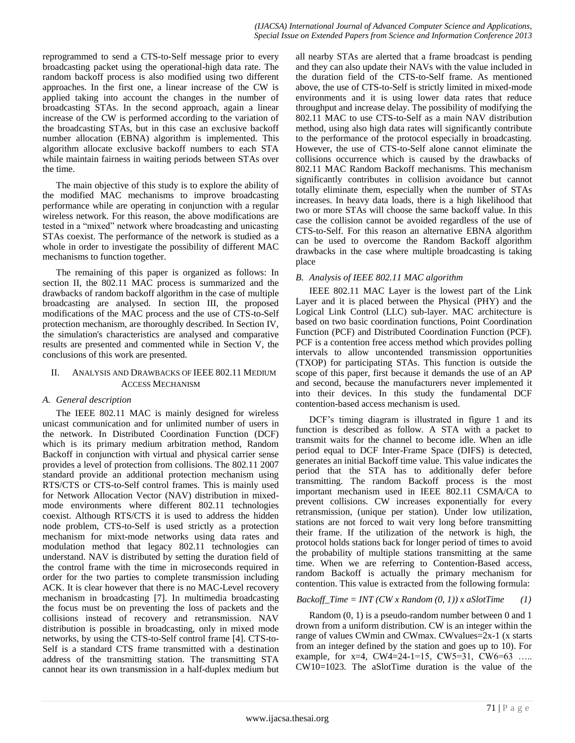reprogrammed to send a CTS-to-Self message prior to every broadcasting packet using the operational-high data rate. The random backoff process is also modified using two different approaches. In the first one, a linear increase of the CW is applied taking into account the changes in the number of broadcasting STAs. In the second approach, again a linear increase of the CW is performed according to the variation of the broadcasting STAs, but in this case an exclusive backoff number allocation (EBNA) algorithm is implemented. This algorithm allocate exclusive backoff numbers to each STA while maintain fairness in waiting periods between STAs over the time.

The main objective of this study is to explore the ability of the modified MAC mechanisms to improve broadcasting performance while are operating in conjunction with a regular wireless network. For this reason, the above modifications are tested in a "mixed" network where broadcasting and unicasting STAs coexist. The performance of the network is studied as a whole in order to investigate the possibility of different MAC mechanisms to function together.

The remaining of this paper is organized as follows: In section II, the 802.11 MAC process is summarized and the drawbacks of random backoff algorithm in the case of multiple broadcasting are analysed. In section III, the proposed modifications of the MAC process and the use of CTS-to-Self protection mechanism, are thoroughly described. In Section IV, the simulation's characteristics are analysed and comparative results are presented and commented while in Section V, the conclusions of this work are presented.

# II. ANALYSIS AND DRAWBACKS OF IEEE 802.11 MEDIUM ACCESS MECHANISM

# *A. General description*

The IEEE 802.11 MAC is mainly designed for wireless unicast communication and for unlimited number of users in the network. In Distributed Coordination Function (DCF) which is its primary medium arbitration method, Random Backoff in conjunction with virtual and physical carrier sense provides a level of protection from collisions. The 802.11 2007 standard provide an additional protection mechanism using RTS/CTS or CTS-to-Self control frames. This is mainly used for Network Allocation Vector (NAV) distribution in mixedmode environments where different 802.11 technologies coexist. Although RTS/CTS it is used to address the hidden node problem, CTS-to-Self is used strictly as a protection mechanism for mixt-mode networks using data rates and modulation method that legacy 802.11 technologies can understand. NAV is distributed by setting the duration field of the control frame with the time in microseconds required in order for the two parties to complete transmission including ACK. It is clear however that there is no MAC-Level recovery mechanism in broadcasting [7]. In multimedia broadcasting the focus must be on preventing the loss of packets and the collisions instead of recovery and retransmission. NAV distribution is possible in broadcasting, only in mixed mode networks, by using the CTS-to-Self control frame [4]. CTS-to-Self is a standard CTS frame transmitted with a destination address of the transmitting station. The transmitting STA cannot hear its own transmission in a half-duplex medium but

all nearby STAs are alerted that a frame broadcast is pending and they can also update their NAVs with the value included in the duration field of the CTS-to-Self frame. As mentioned above, the use of CTS-to-Self is strictly limited in mixed-mode environments and it is using lower data rates that reduce throughput and increase delay. The possibility of modifying the 802.11 MAC to use CTS-to-Self as a main NAV distribution method, using also high data rates will significantly contribute to the performance of the protocol especially in broadcasting. However, the use of CTS-to-Self alone cannot eliminate the collisions occurrence which is caused by the drawbacks of 802.11 MAC Random Backoff mechanisms. This mechanism significantly contributes in collision avoidance but cannot totally eliminate them, especially when the number of STAs increases. In heavy data loads, there is a high likelihood that two or more STAs will choose the same backoff value. In this case the collision cannot be avoided regardless of the use of CTS-to-Self. For this reason an alternative EBNA algorithm can be used to overcome the Random Backoff algorithm drawbacks in the case where multiple broadcasting is taking place

# *B. Analysis of IEEE 802.11 MAC algorithm*

IEEE 802.11 MAC Layer is the lowest part of the Link Layer and it is placed between the Physical (PHY) and the Logical Link Control (LLC) sub-layer. MAC architecture is based on two basic coordination functions, Point Coordination Function (PCF) and Distributed Coordination Function (PCF). PCF is a contention free access method which provides polling intervals to allow uncontended transmission opportunities (TXOP) for participating STAs. This function is outside the scope of this paper, first because it demands the use of an AP and second, because the manufacturers never implemented it into their devices. In this study the fundamental DCF contention-based access mechanism is used.

DCF's timing diagram is illustrated in figure 1 and its function is described as follow. A STA with a packet to transmit waits for the channel to become idle. When an idle period equal to DCF Inter-Frame Space (DIFS) is detected, generates an initial Backoff time value. This value indicates the period that the STA has to additionally defer before transmitting. The random Backoff process is the most important mechanism used in IEEE 802.11 CSMA/CA to prevent collisions. CW increases exponentially for every retransmission, (unique per station). Under low utilization, stations are not forced to wait very long before transmitting their frame. If the utilization of the network is high, the protocol holds stations back for longer period of times to avoid the probability of multiple stations transmitting at the same time. When we are referring to Contention-Based access, random Backoff is actually the primary mechanism for contention. This value is extracted from the following formula:

# $Backoff\_Time = INT (CW x Random (0, 1)) x aSlotTime (1)$

Random (0, 1) is a pseudo-random number between 0 and 1 drown from a uniform distribution. CW is an integer within the range of values CWmin and CWmax. CWvalues=2x-1 (x starts from an integer defined by the station and goes up to 10). For example, for  $x=4$ , CW4=24-1=15, CW5=31, CW6=63 .... CW10=1023. The aSlotTime duration is the value of the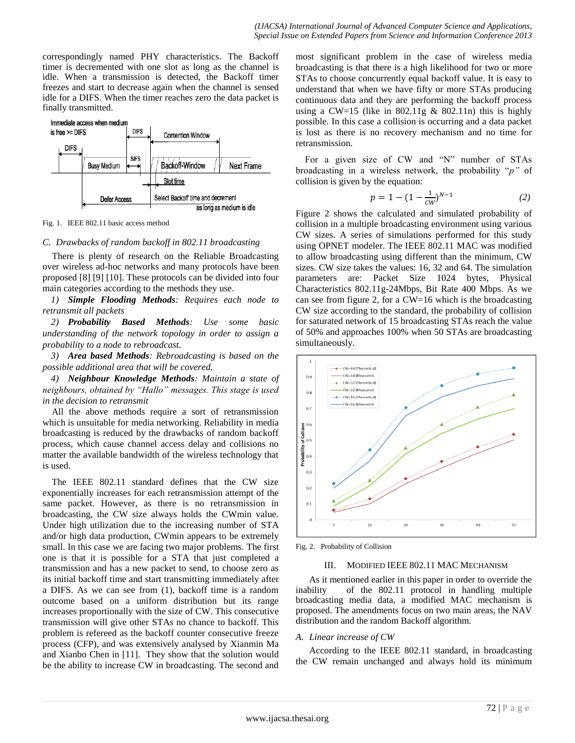correspondingly named PHY characteristics. The Backoff timer is decremented with one slot as long as the channel is idle. When a transmission is detected, the Backoff timer freezes and start to decrease again when the channel is sensed idle for a DIFS. When the timer reaches zero the data packet is finally transmitted.



Fig. 1. IEEE 802.11 basic access method

#### *C. Drawbacks of random backoff in 802.11 broadcasting*

There is plenty of research on the Reliable Broadcasting over wireless ad-hoc networks and many protocols have been proposed [8] [9] [10]. These protocols can be divided into four main categories according to the methods they use.

*1) Simple Flooding Methods: Requires each node to retransmit all packets*

*2) Probability Based Methods: Use some basic understanding of the network topology in order to assign a probability to a node to rebroadcast.*

*3) Area based Methods: Rebroadcasting is based on the possible additional area that will be covered.*

*4) Neighbour Knowledge Methods: Maintain a state of neighbours, obtained by "Hallo" messages. This stage is used in the decision to retransmit*

All the above methods require a sort of retransmission which is unsuitable for media networking. Reliability in media broadcasting is reduced by the drawbacks of random backoff process, which cause channel access delay and collisions no matter the available bandwidth of the wireless technology that is used.

The IEEE 802.11 standard defines that the CW size exponentially increases for each retransmission attempt of the same packet. However, as there is no retransmission in broadcasting, the CW size always holds the CWmin value. Under high utilization due to the increasing number of STA and/or high data production, CWmin appears to be extremely small. In this case we are facing two major problems. The first one is that it is possible for a STA that just completed a transmission and has a new packet to send, to choose zero as its initial backoff time and start transmitting immediately after a DIFS. As we can see from (1), backoff time is a random outcome based on a uniform distribution but its range increases proportionally with the size of CW. This consecutive transmission will give other STAs no chance to backoff. This problem is refereed as the backoff counter consecutive freeze process (CFP), and was extensively analysed by Xianmin Ma and Xianbo Chen in [11]. They show that the solution would be the ability to increase CW in broadcasting. The second and most significant problem in the case of wireless media broadcasting is that there is a high likelihood for two or more STAs to choose concurrently equal backoff value. It is easy to understand that when we have fifty or more STAs producing continuous data and they are performing the backoff process using a CW=15 (like in  $802.11g \& 802.11n$ ) this is highly possible. In this case a collision is occurring and a data packet is lost as there is no recovery mechanism and no time for retransmission.

For a given size of CW and "N" number of STAs broadcasting in a wireless network, the probability "*p"* of collision is given by the equation:

$$
p = 1 - (1 - \frac{1}{cw})^{N-1} \tag{2}
$$

Figure 2 shows the calculated and simulated probability of collision in a multiple broadcasting environment using various CW sizes. A series of simulations performed for this study using OPNET modeler. The IEEE 802.11 MAC was modified to allow broadcasting using different than the minimum, CW sizes. CW size takes the values: 16, 32 and 64. The simulation parameters are: Packet Size 1024 bytes, Physical Characteristics 802.11g-24Mbps, Bit Rate 400 Mbps. As we can see from figure 2, for a CW=16 which is the broadcasting CW size according to the standard, the probability of collision for saturated network of 15 broadcasting STAs reach the value of 50% and approaches 100% when 50 STAs are broadcasting simultaneously.



Fig. 2. Probability of Collision

### III. MODIFIED IEEE 802.11 MAC MECHANISM

As it mentioned earlier in this paper in order to override the inability of the 802.11 protocol in handling multiple broadcasting media data, a modified MAC mechanism is proposed. The amendments focus on two main areas, the NAV distribution and the random Backoff algorithm.

# *A. Linear increase of CW*

According to the IEEE 802.11 standard, in broadcasting the CW remain unchanged and always hold its minimum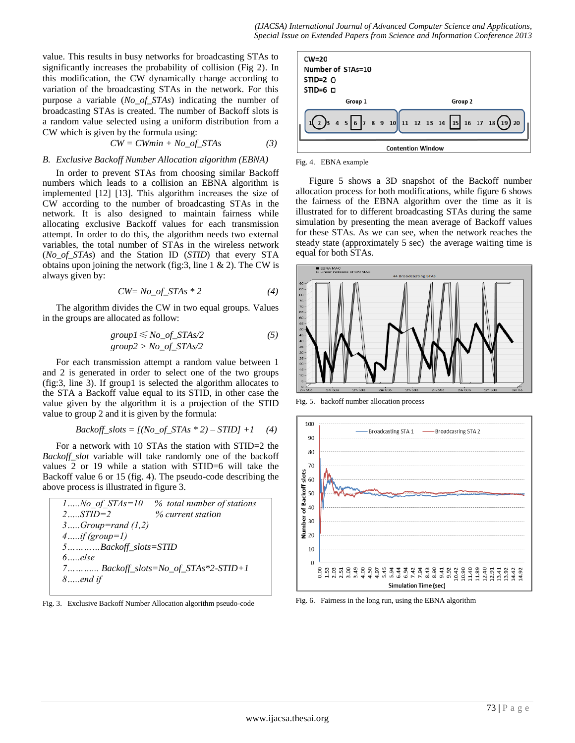value. This results in busy networks for broadcasting STAs to significantly increases the probability of collision (Fig 2). In this modification, the CW dynamically change according to variation of the broadcasting STAs in the network. For this purpose a variable (*No\_of\_STAs*) indicating the number of broadcasting STAs is created. The number of Backoff slots is a random value selected using a uniform distribution from a CW which is given by the formula using:

$$
CW = CWmin + No\_of\_STAs
$$
 (3)

### *B. Exclusive Backoff Number Allocation algorithm (EBNA)*

In order to prevent STAs from choosing similar Backoff numbers which leads to a collision an EBNA algorithm is implemented [12] [13]. This algorithm increases the size of CW according to the number of broadcasting STAs in the network. It is also designed to maintain fairness while allocating exclusive Backoff values for each transmission attempt. In order to do this, the algorithm needs two external variables, the total number of STAs in the wireless network (*No\_of\_STAs*) and the Station ID (*STID*) that every STA obtains upon joining the network (fig: 3, line  $1 \& 2$ ). The CW is always given by:

$$
CW = No\_of\_STAs * 2 \tag{4}
$$

The algorithm divides the CW in two equal groups. Values in the groups are allocated as follow:

$$
group1 \le No\_of\_STAs/2
$$
\n
$$
group2 > No\_of\_STAs/2
$$
\n(5)

For each transmission attempt a random value between 1 and 2 is generated in order to select one of the two groups (fig:3, line 3). If group1 is selected the algorithm allocates to the STA a Backoff value equal to its STID, in other case the value given by the algorithm it is a projection of the STID value to group 2 and it is given by the formula:

$$
Backoff\_slots = [(No\_of\_STAs * 2) - STID] + 1 \quad (4)
$$

For a network with 10 STAs the station with STID=2 the *Backoff\_slot* variable will take randomly one of the backoff values 2 or 19 while a station with STID=6 will take the Backoff value 6 or 15 (fig. 4). The pseudo-code describing the above process is illustrated in figure 3.

|                                           | 1No of $STAs=10$ % total number of stations |  |
|-------------------------------------------|---------------------------------------------|--|
| $2$ $STID = 2$                            | % current station                           |  |
| $3Group = rand(1,2)$                      |                                             |  |
| $4$ if (group=1)                          |                                             |  |
| $5$ Backoff_slots=STID                    |                                             |  |
| $6$ else                                  |                                             |  |
| 7 $Backoff\_slots = No_of\_STAs*2-STID+1$ |                                             |  |
| $8end$ if                                 |                                             |  |
|                                           |                                             |  |





Fig. 4. EBNA example

Figure 5 shows a 3D snapshot of the Backoff number allocation process for both modifications, while figure 6 shows the fairness of the EBNA algorithm over the time as it is illustrated for to different broadcasting STAs during the same simulation by presenting the mean average of Backoff values for these STAs. As we can see, when the network reaches the steady state (approximately 5 sec) the average waiting time is equal for both STAs.



Fig. 5. backoff number allocation process



Fig. 6. Fairness in the long run, using the EBNA algorithm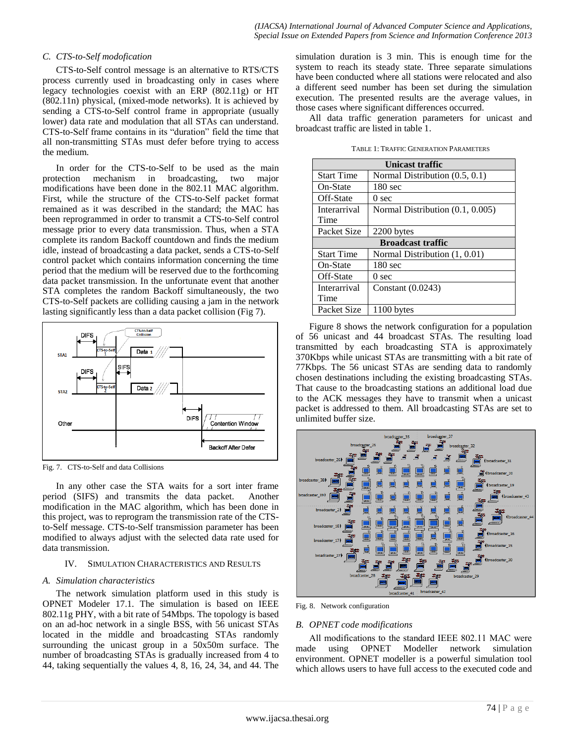# *C. CTS-to-Self modofication*

CTS-to-Self control message is an alternative to RTS/CTS process currently used in broadcasting only in cases where legacy technologies coexist with an ERP (802.11g) or HT (802.11n) physical, (mixed-mode networks). It is achieved by sending a CTS-to-Self control frame in appropriate (usually lower) data rate and modulation that all STAs can understand. CTS-to-Self frame contains in its "duration" field the time that all non-transmitting STAs must defer before trying to access the medium.

In order for the CTS-to-Self to be used as the main protection mechanism in broadcasting, two major modifications have been done in the 802.11 MAC algorithm. First, while the structure of the CTS-to-Self packet format remained as it was described in the standard; the MAC has been reprogrammed in order to transmit a CTS-to-Self control message prior to every data transmission. Thus, when a STA complete its random Backoff countdown and finds the medium idle, instead of broadcasting a data packet, sends a CTS-to-Self control packet which contains information concerning the time period that the medium will be reserved due to the forthcoming data packet transmission. In the unfortunate event that another STA completes the random Backoff simultaneously, the two CTS-to-Self packets are colliding causing a jam in the network lasting significantly less than a data packet collision (Fig 7).



Fig. 7. CTS-to-Self and data Collisions

In any other case the STA waits for a sort inter frame period (SIFS) and transmits the data packet. Another modification in the MAC algorithm, which has been done in this project, was to reprogram the transmission rate of the CTSto-Self message. CTS-to-Self transmission parameter has been modified to always adjust with the selected data rate used for data transmission.

#### IV. SIMULATION CHARACTERISTICS AND RESULTS

# *A. Simulation characteristics*

The network simulation platform used in this study is OPNET Modeler 17.1. The simulation is based on IEEE 802.11g PHY, with a bit rate of 54Mbps. The topology is based on an ad-hoc network in a single BSS, with 56 unicast STAs located in the middle and broadcasting STAs randomly surrounding the unicast group in a 50x50m surface. The number of broadcasting STAs is gradually increased from 4 to 44, taking sequentially the values 4, 8, 16, 24, 34, and 44. The simulation duration is 3 min. This is enough time for the system to reach its steady state. Three separate simulations have been conducted where all stations were relocated and also a different seed number has been set during the simulation execution. The presented results are the average values, in those cases where significant differences occurred.

All data traffic generation parameters for unicast and broadcast traffic are listed in table 1.

| Unicast traffic          |                                  |
|--------------------------|----------------------------------|
| <b>Start Time</b>        | Normal Distribution $(0.5, 0.1)$ |
| On-State                 | $180 \text{ sec}$                |
| Off-State                | 0 <sub>sec</sub>                 |
| Interarrival             | Normal Distribution (0.1, 0.005) |
| Time                     |                                  |
| Packet Size              | 2200 bytes                       |
| <b>Broadcast traffic</b> |                                  |
| <b>Start Time</b>        | Normal Distribution (1, 0.01)    |
| On-State                 | $180 \text{ sec}$                |
| Off-State                | 0 <sub>sec</sub>                 |
| Interarrival             | Constant $(0.0243)$              |
| Time                     |                                  |
| Packet Size              | 1100 bytes                       |

Figure 8 shows the network configuration for a population of 56 unicast and 44 broadcast STAs. The resulting load transmitted by each broadcasting STA is approximately 370Kbps while unicast STAs are transmitting with a bit rate of 77Kbps. The 56 unicast STAs are sending data to randomly chosen destinations including the existing broadcasting STAs. That cause to the broadcasting stations an additional load due to the ACK messages they have to transmit when a unicast packet is addressed to them. All broadcasting STAs are set to unlimited buffer size.



Fig. 8. Network configuration

# *B. OPNET code modifications*

All modifications to the standard ΙΕΕΕ 802.11 MAC were made using OPNET Modeller network simulation environment. OPNET modeller is a powerful simulation tool which allows users to have full access to the executed code and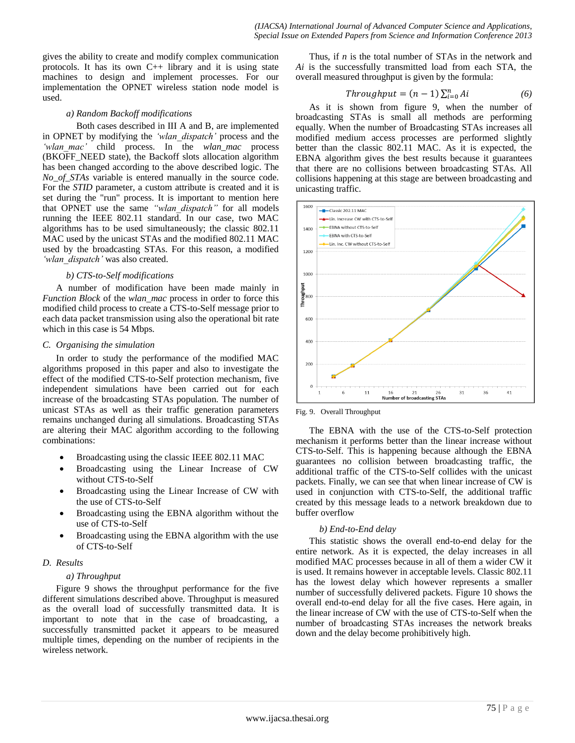gives the ability to create and modify complex communication protocols. It has its own  $C_{++}$  library and it is using state machines to design and implement processes. For our implementation the OPNET wireless station node model is used.

## *a) Random Backoff modifications*

Both cases described in III A and B, are implemented in OPNET by modifying the *'wlan\_dispatch'* process and the *'wlan\_mac'* child process. In the *wlan\_mac* process (BKOFF\_NEED state), the Backoff slots allocation algorithm has been changed according to the above described logic. The *No\_of\_STAs* variable is entered manually in the source code. For the *STID* parameter, a custom attribute is created and it is set during the "run" process. It is important to mention here that OPNET use the same *"wlan\_dispatch"* for all models running the IEEE 802.11 standard. In our case, two MAC algorithms has to be used simultaneously; the classic 802.11 MAC used by the unicast STAs and the modified 802.11 MAC used by the broadcasting STAs. For this reason, a modified *'wlan\_dispatch'* was also created.

## *b) CTS-to-Self modifications*

A number of modification have been made mainly in *Function Block* of the *wlan\_mac* process in order to force this modified child process to create a CTS-to-Self message prior to each data packet transmission using also the operational bit rate which in this case is 54 Mbps.

## *C. Organising the simulation*

In order to study the performance of the modified MAC algorithms proposed in this paper and also to investigate the effect of the modified CTS-to-Self protection mechanism, five independent simulations have been carried out for each increase of the broadcasting STAs population. The number of unicast STAs as well as their traffic generation parameters remains unchanged during all simulations. Broadcasting STAs are altering their MAC algorithm according to the following combinations:

- Broadcasting using the classic IEEE 802.11 MAC
- Broadcasting using the Linear Increase of CW without CTS-to-Self
- Broadcasting using the Linear Increase of CW with the use of CTS-to-Self
- Broadcasting using the EBNA algorithm without the use of CTS-to-Self
- Broadcasting using the EBNA algorithm with the use of CTS-to-Self

# *D. Results*

# *a) Throughput*

Figure 9 shows the throughput performance for the five different simulations described above. Throughput is measured as the overall load of successfully transmitted data. It is important to note that in the case of broadcasting, a successfully transmitted packet it appears to be measured multiple times, depending on the number of recipients in the wireless network.

Thus, if *n* is the total number of STAs in the network and *Ai* is the successfully transmitted load from each STA, the overall measured throughput is given by the formula:

$$
Throughput = (n - 1) \sum_{i=0}^{n} Ai \tag{6}
$$

As it is shown from figure 9, when the number of broadcasting STAs is small all methods are performing equally. When the number of Broadcasting STAs increases all modified medium access processes are performed slightly better than the classic 802.11 MAC. As it is expected, the EBNA algorithm gives the best results because it guarantees that there are no collisions between broadcasting STAs. All collisions happening at this stage are between broadcasting and unicasting traffic.



Fig. 9. Overall Throughput

The EBNA with the use of the CTS-to-Self protection mechanism it performs better than the linear increase without CTS-to-Self. This is happening because although the EBNA guarantees no collision between broadcasting traffic, the additional traffic of the CTS-to-Self collides with the unicast packets. Finally, we can see that when linear increase of CW is used in conjunction with CTS-to-Self, the additional traffic created by this message leads to a network breakdown due to buffer overflow

# *b) End-to-End delay*

This statistic shows the overall end-to-end delay for the entire network. As it is expected, the delay increases in all modified MAC processes because in all of them a wider CW it is used. It remains however in acceptable levels. Classic 802.11 has the lowest delay which however represents a smaller number of successfully delivered packets. Figure 10 shows the overall end-to-end delay for all the five cases. Here again, in the linear increase of CW with the use of CTS-to-Self when the number of broadcasting STAs increases the network breaks down and the delay become prohibitively high.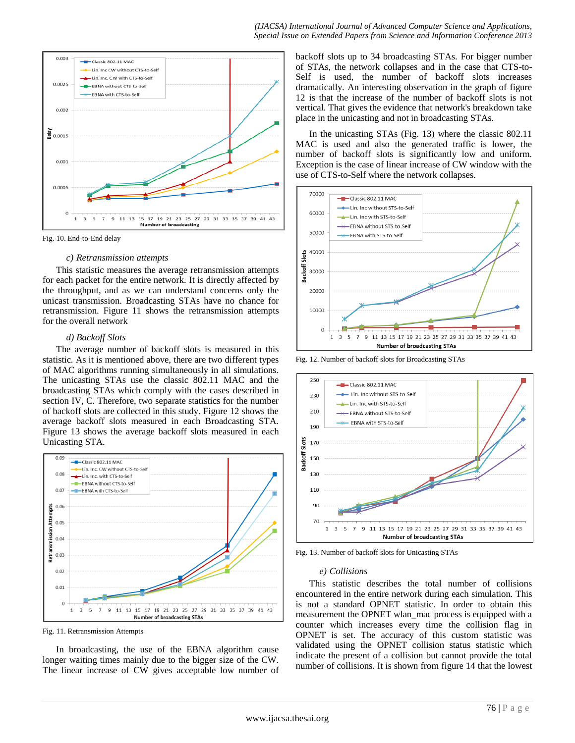

Fig. 10. End-to-End delay

#### *c) Retransmission attempts*

This statistic measures the average retransmission attempts for each packet for the entire network. It is directly affected by the throughput, and as we can understand concerns only the unicast transmission. Broadcasting STAs have no chance for retransmission. Figure 11 shows the retransmission attempts for the overall network

## *d) Backoff Slots*

The average number of backoff slots is measured in this statistic. As it is mentioned above, there are two different types of MAC algorithms running simultaneously in all simulations. The unicasting STAs use the classic 802.11 MAC and the broadcasting STAs which comply with the cases described in section IV, C. Therefore, two separate statistics for the number of backoff slots are collected in this study. Figure 12 shows the average backoff slots measured in each Broadcasting STA. Figure 13 shows the average backoff slots measured in each Unicasting STA.



Fig. 11. Retransmission Attempts

In broadcasting, the use of the EBNA algorithm cause longer waiting times mainly due to the bigger size of the CW. The linear increase of CW gives acceptable low number of backoff slots up to 34 broadcasting STAs. For bigger number of STAs, the network collapses and in the case that CTS-to-Self is used, the number of backoff slots increases dramatically. An interesting observation in the graph of figure 12 is that the increase of the number of backoff slots is not vertical. That gives the evidence that network's breakdown take place in the unicasting and not in broadcasting STAs.

In the unicasting STAs (Fig. 13) where the classic 802.11 MAC is used and also the generated traffic is lower, the number of backoff slots is significantly low and uniform. Exception is the case of linear increase of CW window with the use of CTS-to-Self where the network collapses.



Fig. 12. Number of backoff slots for Broadcasting STAs



Fig. 13. Number of backoff slots for Unicasting STAs

## *e) Collisions*

This statistic describes the total number of collisions encountered in the entire network during each simulation. This is not a standard OPNET statistic. In order to obtain this measurement the OPNET wlan\_mac process is equipped with a counter which increases every time the collision flag in OPNET is set. The accuracy of this custom statistic was validated using the OPNET collision status statistic which indicate the present of a collision but cannot provide the total number of collisions. It is shown from figure 14 that the lowest